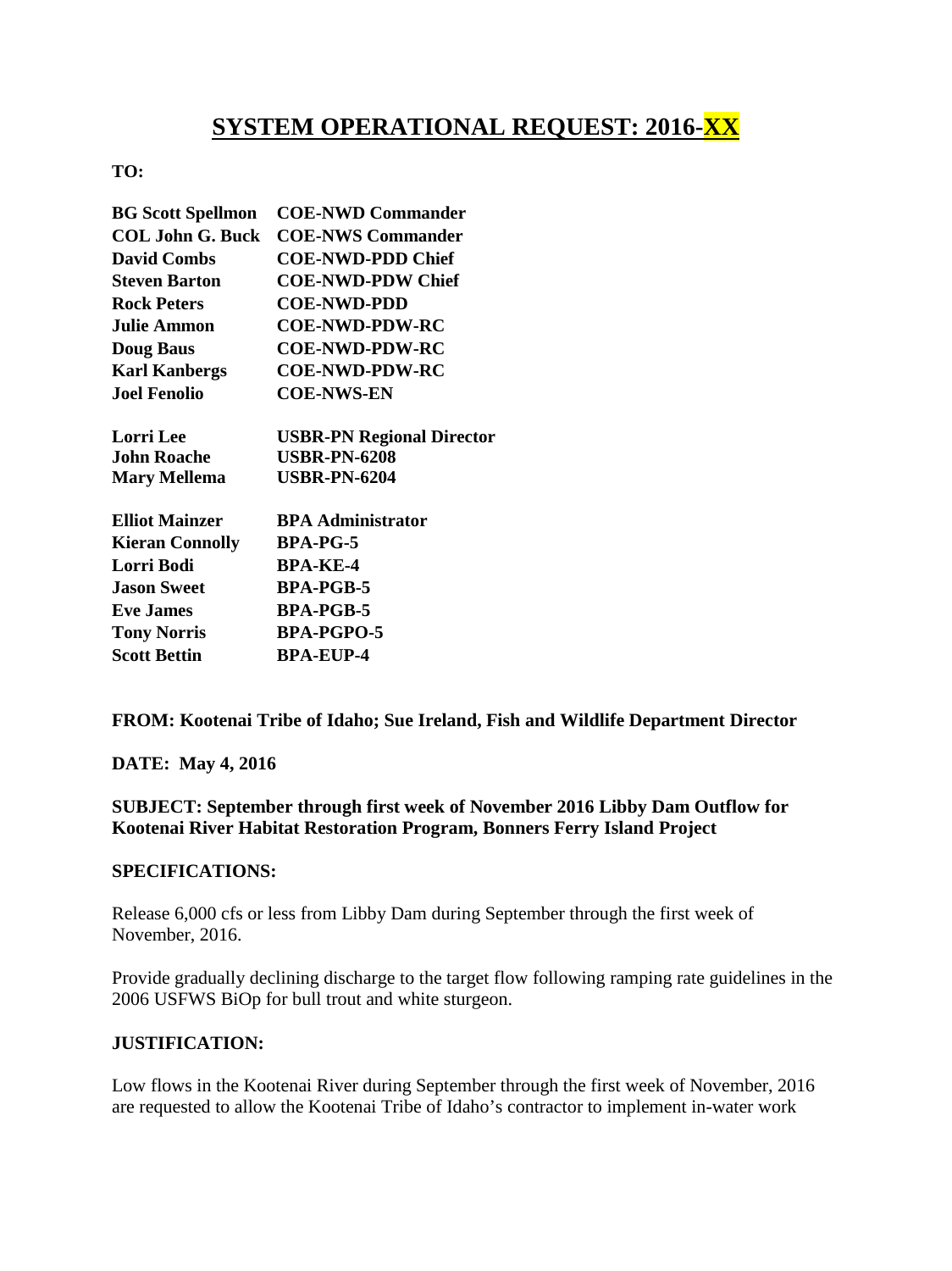## **SYSTEM OPERATIONAL REQUEST: 2016-XX**

## **TO:**

| <b>BG Scott Spellmon</b> | <b>COE-NWD Commander</b>         |
|--------------------------|----------------------------------|
| <b>COL John G. Buck</b>  | <b>COE-NWS Commander</b>         |
| <b>David Combs</b>       | <b>COE-NWD-PDD Chief</b>         |
| <b>Steven Barton</b>     | <b>COE-NWD-PDW Chief</b>         |
| <b>Rock Peters</b>       | <b>COE-NWD-PDD</b>               |
| <b>Julie Ammon</b>       | <b>COE-NWD-PDW-RC</b>            |
| <b>Doug Baus</b>         | <b>COE-NWD-PDW-RC</b>            |
| <b>Karl Kanbergs</b>     | <b>COE-NWD-PDW-RC</b>            |
| <b>Joel Fenolio</b>      | <b>COE-NWS-EN</b>                |
| <b>Lorri</b> Lee         | <b>USBR-PN Regional Director</b> |
| John Roache              | <b>USBR-PN-6208</b>              |
| <b>Mary Mellema</b>      | <b>USBR-PN-6204</b>              |
| <b>Elliot Mainzer</b>    | <b>BPA Administrator</b>         |
| <b>Kieran Connolly</b>   | <b>BPA-PG-5</b>                  |
| Lorri Bodi               | <b>BPA-KE-4</b>                  |
| <b>Jason Sweet</b>       | <b>BPA-PGB-5</b>                 |
| <b>Eve James</b>         | <b>BPA-PGB-5</b>                 |
| <b>Tony Norris</b>       | <b>BPA-PGPO-5</b>                |
| <b>Scott Bettin</b>      | BPA-EUP-4                        |

**FROM: Kootenai Tribe of Idaho; Sue Ireland, Fish and Wildlife Department Director** 

**DATE: May 4, 2016**

**SUBJECT: September through first week of November 2016 Libby Dam Outflow for Kootenai River Habitat Restoration Program, Bonners Ferry Island Project**

## **SPECIFICATIONS:**

Release 6,000 cfs or less from Libby Dam during September through the first week of November, 2016.

Provide gradually declining discharge to the target flow following ramping rate guidelines in the 2006 USFWS BiOp for bull trout and white sturgeon.

## **JUSTIFICATION:**

Low flows in the Kootenai River during September through the first week of November, 2016 are requested to allow the Kootenai Tribe of Idaho's contractor to implement in-water work